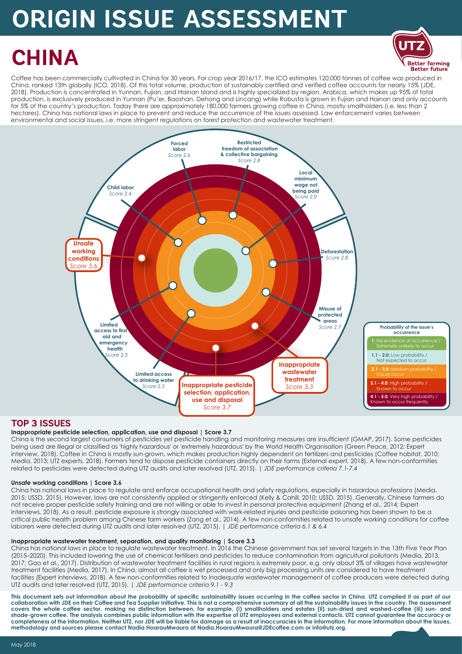# **ORIGIN ISSUE ASSESSMENT**

## **CHINA**

**Better future** Coffee has been commercially cultivated in China for 30 years. For crop year 2016/17, the ICO estimates 120,000 tonnes of coffee was produced in China, ranked 13th globally (ICO, 2018). Of this total volume, production of sustainably certified and verified coffee accounts for nearly 15% (JDE, 2018). Production is concentrated in Yunnan, Fujian, and Hainan Island and is highly specialized by region. Arabica, which makes up 95% of total production, is exclusively produced in Yunnan (Pu'er, Baoshan, Dehong and Lincang) while Robusta is grown in Fujian and Hainan and only accounts for 5% of the country's production. Today there are approximately 180,000 farmers growing coffee in China, mostly smallholders (i.e. less than 2 hectares). China has national laws in place to prevent and reduce the occurrence of the issues assessed. Law enforcement varies between environmental and social issues, i.e. more stringent regulations on forest protection and wastewater treatment.

**UTZ**

**Better farming** 



#### **TOP 3 ISSUES**

#### **Inappropriate pesticide selection, application, use and disposal | Score 3.7**

China is the second largest consumers of pesticides yet pesticide handling and monitoring measures are insufficient (GMAP, 2017). Some pesticides being used are illegal or classified as 'highly hazardous' or 'extremely hazardous' by the World Health Organisation (Green Peace, 2012; Expert interview, 2018). Coffee in China is mostly sun-grown, which makes production highly dependent on fertilizers and pesticides (Coffee habitat, 2010; Media, 2013; UTZ experts, 2018). Farmers tend to dispose pesticide containers directly on their farms (External expert, 2018). A few non-conformities related to pesticides were detected during UTZ audits and later resolved (UTZ, 2015). | *JDE performance criteria 7.1-7.4*

#### **Unsafe working conditions | Score 3.6**

China has national laws in place to regulate and enforce occupational health and safety regulations, especially in hazardous professions (Media, 2015; USSD, 2015). However, laws are not consistently applied or stringently enforced (Kelly & Cahill, 2010; USSD, 2015). Generally, Chinese farmers do not receive proper pesticide safety training and are not willing or able to invest in personal protective equipment (Zhang et al., 2014; Expert interviews, 2018). As a result, pesticide exposure is strongly associated with work-related injuries and pesticide poisoning has been shown to be a critical public health problem among Chinese farm workers (Zang et al., 2014). A few non-conformities related to unsafe working conditions for coffee laborers were detected during UTZ audits and later resolved (UTZ, 2015). | *JDE performance criteria 6.1 & 6.4*

#### **Inappropriate wastewater treatment, separation, and quality monitoring | Score 3.3**

China has national laws in place to regulate wastewater treatment. In 2016 the Chinese government has set several targets in the 13th Five Year Plan (2015–2020). This included lowering the use of chemical fertilisers and pesticides to reduce contamination from agricultural pollutants (Media, 2013, 2017; Gao et al., 2017). Distribution of wastewater treatment facilities in rural regions is extremely poor, e.g. only about 3% of villages have wastewater treatment facilities (Media, 2017). In China, almost all coffee is wet processed and only big processing units are considered to have treatment facilities (Expert interviews, 2018). A few non-conformities related to inadequate wastewater management of coffee producers were detected during UTZ audits and later resolved (UTZ, 2015). | *JDE performance criteria 9.1 - 9.3* 

This document sets out information about the probability of specific sustainability issues occurring in the coffee sector in China. UTZ compiled it as part of our **collaboration with JDE on their Coffee and Tea Supplier Initiative. This is not a comprehensive summary of all the sustainability issues in the country. The assessment covers the whole coffee sector, making no distinction between, for example, (i) smallholders and estates (ii) sun-dried and washed-coffee (iii) sun- and shade-grown coffee. The analysis combines public information with the expertise of UTZ employees and external contacts. UTZ cannot guarantee the accuracy or completeness of the information. Neither UTZ, nor JDE will be liable for damage as a result of inaccuracies in the information. For more information about the issues, methodology and sources please contact Nadia HoarauMwaura at Nadia.HoarauMwaura@JDEcoffee.com or info@utz.org.**